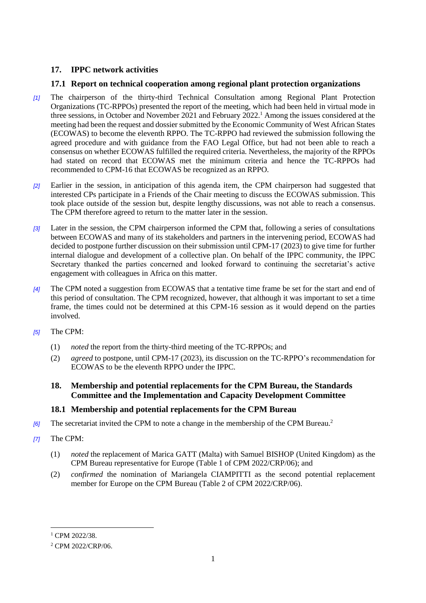# **17. IPPC network activities**

## **17.1 Report on technical cooperation among regional plant protection organizations**

- *[1]* The chairperson of the thirty-third Technical Consultation among Regional Plant Protection Organizations (TC-RPPOs) presented the report of the meeting, which had been held in virtual mode in three sessions, in October and November 2021 and February 2022.<sup>1</sup> Among the issues considered at the meeting had been the request and dossier submitted by the Economic Community of West African States (ECOWAS) to become the eleventh RPPO. The TC-RPPO had reviewed the submission following the agreed procedure and with guidance from the FAO Legal Office, but had not been able to reach a consensus on whether ECOWAS fulfilled the required criteria. Nevertheless, the majority of the RPPOs had stated on record that ECOWAS met the minimum criteria and hence the TC-RPPOs had recommended to CPM-16 that ECOWAS be recognized as an RPPO.
- *[2]* Earlier in the session, in anticipation of this agenda item, the CPM chairperson had suggested that interested CPs participate in a Friends of the Chair meeting to discuss the ECOWAS submission. This took place outside of the session but, despite lengthy discussions, was not able to reach a consensus. The CPM therefore agreed to return to the matter later in the session.
- *[3]* Later in the session, the CPM chairperson informed the CPM that, following a series of consultations between ECOWAS and many of its stakeholders and partners in the intervening period, ECOWAS had decided to postpone further discussion on their submission until CPM-17 (2023) to give time for further internal dialogue and development of a collective plan. On behalf of the IPPC community, the IPPC Secretary thanked the parties concerned and looked forward to continuing the secretariat's active engagement with colleagues in Africa on this matter.
- *[4]* The CPM noted a suggestion from ECOWAS that a tentative time frame be set for the start and end of this period of consultation. The CPM recognized, however, that although it was important to set a time frame, the times could not be determined at this CPM-16 session as it would depend on the parties involved.
- *[5]* The CPM:
	- (1) *noted* the report from the thirty-third meeting of the TC-RPPOs; and
	- (2) *agreed* to postpone, until CPM-17 (2023), its discussion on the TC-RPPO's recommendation for ECOWAS to be the eleventh RPPO under the IPPC.

## **18. Membership and potential replacements for the CPM Bureau, the Standards Committee and the Implementation and Capacity Development Committee**

## **18.1 Membership and potential replacements for the CPM Bureau**

- *[6]* The secretariat invited the CPM to note a change in the membership of the CPM Bureau.<sup>2</sup>
- *[7]* The CPM:
	- (1) *noted* the replacement of Marica GATT (Malta) with Samuel BISHOP (United Kingdom) as the CPM Bureau representative for Europe (Table 1 of CPM 2022/CRP/06); and
	- (2) *confirmed* the nomination of Mariangela CIAMPITTI as the second potential replacement member for Europe on the CPM Bureau (Table 2 of CPM 2022/CRP/06).

l

<sup>&</sup>lt;sup>1</sup> CPM 2022/38.

<sup>&</sup>lt;sup>2</sup> CPM 2022/CRP/06.